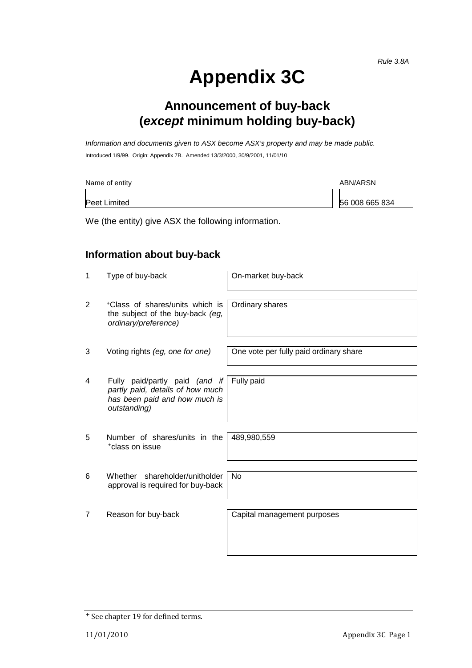# **Appendix 3C**

## **Announcement of buy-back (***except* **minimum holding buy-back)**

*Information and documents given to ASX become ASX's property and may be made public.* Introduced 1/9/99. Origin: Appendix 7B. Amended 13/3/2000, 30/9/2001, 11/01/10

| Name of entity | ABN/ARSN       |  |  |
|----------------|----------------|--|--|
| Peet Limited   | 56 008 665 834 |  |  |

We (the entity) give ASX the following information.

### **Information about buy-back**

| 1 | Type of buy-back                                                                                                    | On-market buy-back                     |
|---|---------------------------------------------------------------------------------------------------------------------|----------------------------------------|
| 2 | *Class of shares/units which is<br>the subject of the buy-back (eg,<br>ordinary/preference)                         | Ordinary shares                        |
| 3 | Voting rights (eg, one for one)                                                                                     | One vote per fully paid ordinary share |
| 4 | Fully paid/partly paid (and if<br>partly paid, details of how much<br>has been paid and how much is<br>outstanding) | Fully paid                             |
| 5 | Number of shares/units in the<br><sup>+</sup> class on issue                                                        | 489,980,559                            |
| 6 | Whether shareholder/unitholder<br>approval is required for buy-back                                                 | <b>No</b>                              |
| 7 | Reason for buy-back                                                                                                 | Capital management purposes            |

<sup>+</sup> See chapter 19 for defined terms.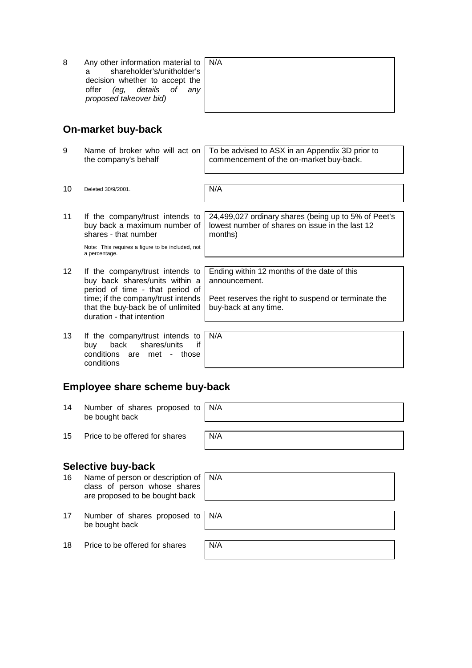8 Any other information material to a shareholder's/unitholder's decision whether to accept the<br>offer (eg, details of any offer (eg, details *proposed takeover bid)*

|   | N/A |
|---|-----|
|   |     |
|   |     |
| ٠ |     |
|   |     |
|   |     |

24,499,027 ordinary shares (being up to 5% of Peet's lowest number of shares on issue in the last 12

Ending within 12 months of the date of this

Peet reserves the right to suspend or terminate the

#### **On-market buy-back**

9 Name of broker who will act on the company's behalf To be advised to ASX in an Appendix 3D prior to commencement of the on-market buy-back.

months)

announcement.

buy-back at any time.

10 Deleted 30/9/2001. N/A

11 If the company/trust intends to buy back a maximum number of shares - that number

> Note: This requires a figure to be included, not a percentage.

- 12 If the company/trust intends to buy back shares/units within a period of time - that period of time; if the company/trust intends that the buy-back be of unlimited duration - that intention
- 13 If the company/trust intends to buy back shares/units if conditions are met - those conditions N/A

**Employee share scheme buy-back**

14 Number of shares proposed to be bought back N/A 15 Price to be offered for shares  $N/A$ 

#### **Selective buy-back**

- 16 Name of person or description of class of person whose shares are proposed to be bought back N/A
- 17 Number of shares proposed to be bought back
- 18 Price to be offered for shares  $N/A$